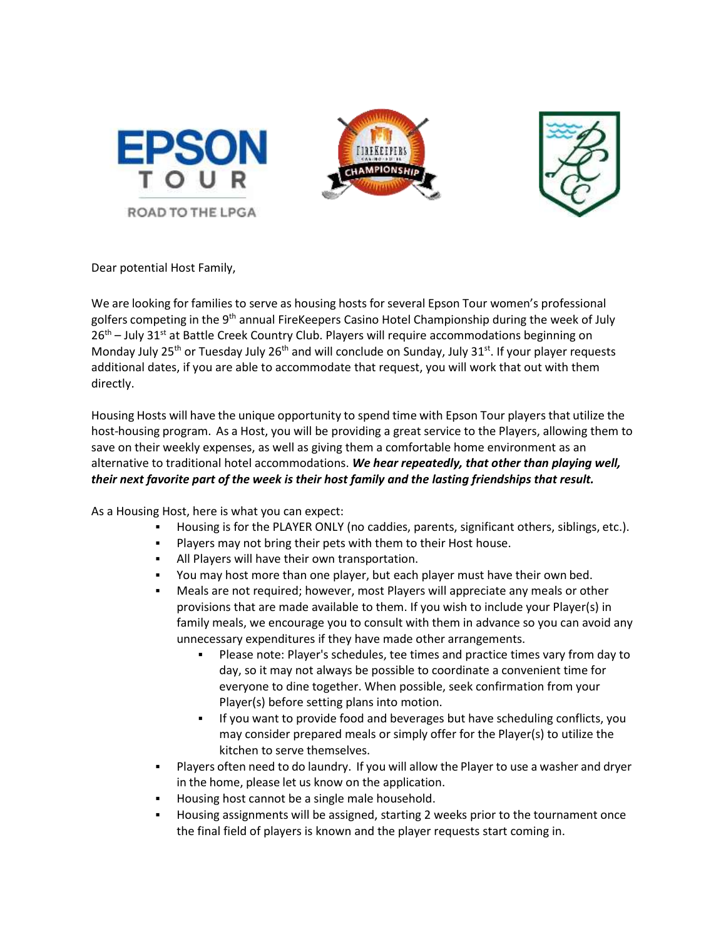





Dear potential Host Family,

We are looking for families to serve as housing hosts for several Epson Tour women's professional golfers competing in the 9<sup>th</sup> annual FireKeepers Casino Hotel Championship during the week of July  $26<sup>th</sup>$  – July 31<sup>st</sup> at Battle Creek Country Club. Players will require accommodations beginning on Monday July 25<sup>th</sup> or Tuesday July 26<sup>th</sup> and will conclude on Sunday, July 31<sup>st</sup>. If your player requests additional dates, if you are able to accommodate that request, you will work that out with them directly.

Housing Hosts will have the unique opportunity to spend time with Epson Tour players that utilize the host-housing program. As a Host, you will be providing a great service to the Players, allowing them to save on their weekly expenses, as well as giving them a comfortable home environment as an alternative to traditional hotel accommodations. *We hear repeatedly, that other than playing well, their next favorite part of the week is their host family and the lasting friendships that result.* 

As a Housing Host, here is what you can expect:

- Housing is for the PLAYER ONLY (no caddies, parents, significant others, siblings, etc.).
- Players may not bring their pets with them to their Host house.
- All Players will have their own transportation.
- You may host more than one player, but each player must have their own bed.
- Meals are not required; however, most Players will appreciate any meals or other provisions that are made available to them. If you wish to include your Player(s) in family meals, we encourage you to consult with them in advance so you can avoid any unnecessary expenditures if they have made other arrangements.
	- Please note: Player's schedules, tee times and practice times vary from day to day, so it may not always be possible to coordinate a convenient time for everyone to dine together. When possible, seek confirmation from your Player(s) before setting plans into motion.
	- If you want to provide food and beverages but have scheduling conflicts, you may consider prepared meals or simply offer for the Player(s) to utilize the kitchen to serve themselves.
- Players often need to do laundry. If you will allow the Player to use a washer and dryer in the home, please let us know on the application.
- Housing host cannot be a single male household.
- Housing assignments will be assigned, starting 2 weeks prior to the tournament once the final field of players is known and the player requests start coming in.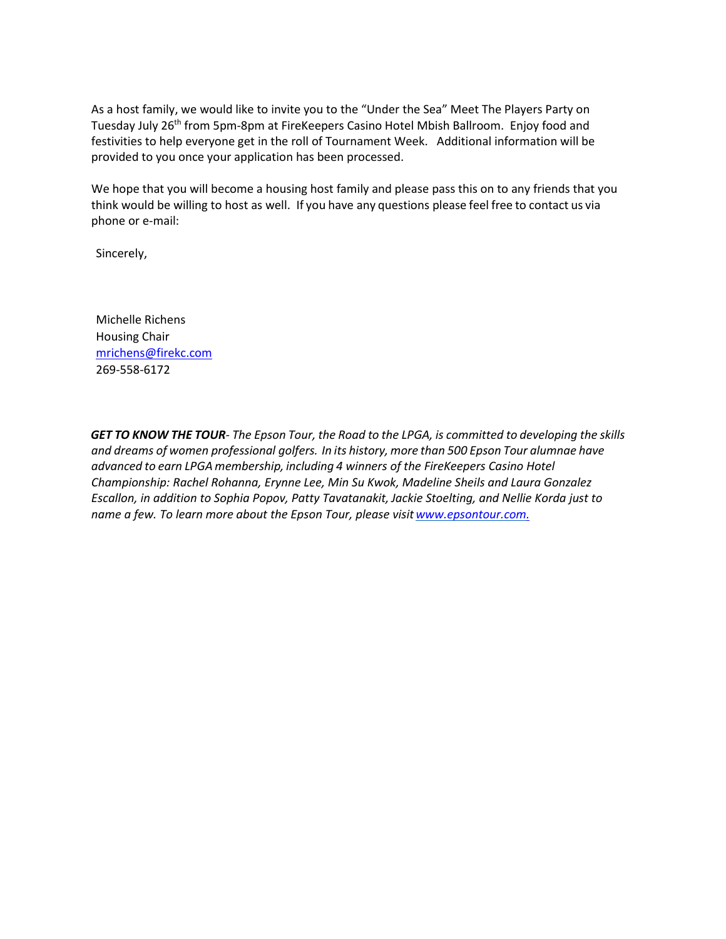As a host family, we would like to invite you to the "Under the Sea" Meet The Players Party on Tuesday July 26<sup>th</sup> from 5pm-8pm at FireKeepers Casino Hotel Mbish Ballroom. Enjoy food and festivities to help everyone get in the roll of Tournament Week. Additional information will be provided to you once your application has been processed.

We hope that you will become a housing host family and please pass this on to any friends that you think would be willing to host as well. If you have any questions please feel free to contact us via phone or e-mail:

Sincerely,

Michelle Richens Housing Chair [mrichens@firekc.com](mailto:mrichens@firekc.com) 269-558-6172

GET TO KNOW THE TOUR- The Epson Tour, the Road to the LPGA, is committed to developing the skills *and dreams of women professional golfers. In its history, more than 500 Epson Tour alumnae have advanced to earn LPGA membership, including 4 winners of the FireKeepers Casino Hotel Championship: Rachel Rohanna, Erynne Lee, Min Su Kwok, Madeline Sheils and Laura Gonzalez Escallon, in addition to Sophia Popov, Patty Tavatanakit, Jackie Stoelting, and Nellie Korda just to name a few. To learn more about the Epson Tour, please visit [www.epsontour.com.](http://www.epsontour.com./)*